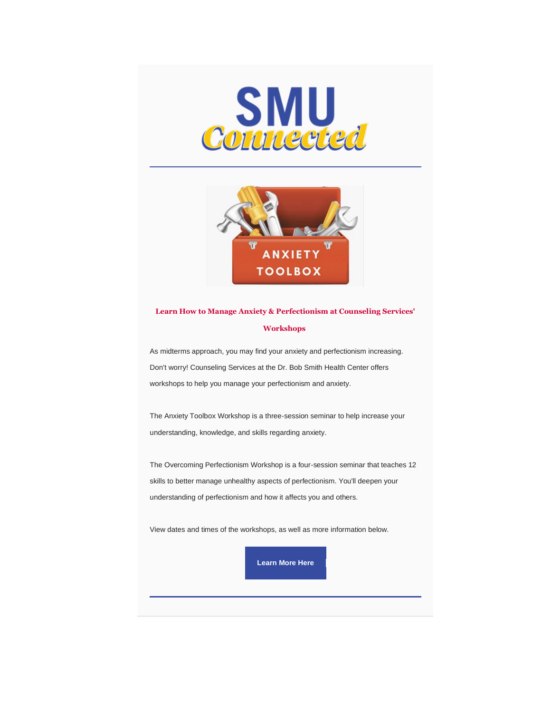



# **Learn How to Manage Anxiety & Perfectionism at Counseling Services' Workshops**

As midterms approach, you may find your anxiety and perfectionism increasing. Don't worry! Counseling Services at the Dr. Bob Smith Health Center offers workshops to help you manage your perfectionism and anxiety.

The Anxiety Toolbox Workshop is a three-session seminar to help increase your understanding, knowledge, and skills regarding anxiety.

The Overcoming Perfectionism Workshop is a four-session seminar that teaches 12 skills to better manage unhealthy aspects of perfectionism. You'll deepen your understanding of perfectionism and how it affects you and others.

View dates and times of the workshops, as well as more information below.

**[Learn More Here](https://www.smu.edu/StudentAffairs/DrBobSmithHealthCenter/Counseling-Services/Group-Counseling)**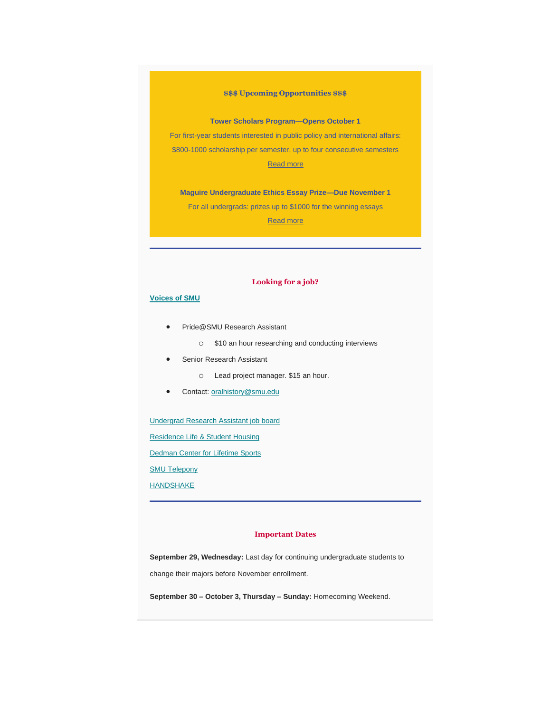### **\$\$\$ Upcoming Opportunities \$\$\$**

**Tower Scholars Program—Opens October 1**

For first-year students interested in public policy and international affairs: \$800-1000 scholarship per semester, up to four consecutive semesters [Read more](https://www.smu.edu/Dedman/Research/Institutes-and-Centers/Tower-Center/Students/Tower-Scholars/Application)

**Maguire Undergraduate Ethics Essay Prize—Due November 1** For all undergrads: prizes up to \$1000 for the winning essays [Read more](https://www.smu.edu/Provost/Ethics/StudentEngagement/EssayPrize)

## **Looking for a job?**

### **[Voices of SMU](https://blog.smu.edu/voicesofsmu/)**

- Pride@SMU Research Assistant
	- o \$10 an hour researching and conducting interviews
- Senior Research Assistant
	- o Lead project manager. \$15 an hour.
- Contact: [oralhistory@smu.edu](mailto:oralhistory@smu.edu)

[Undergrad Research Assistant job board](https://www.smu.edu/Provost/Engaged-Learning/Research/URA#students)

[Residence Life & Student Housing](https://www.smu.edu/StudentAffairs/ResidenceLifeandStudentHousing/GetInvolved)

[Dedman Center for Lifetime Sports](https://www.smu.edu/StudentAffairs/CampusRecreation/About)

**[SMU Telepony](https://www.smu.edu/developmentexternalaffairs/telepony)** 

**[HANDSHAKE](https://smu.joinhandshake.com/)** 

#### **Important Dates**

**September 29, Wednesday:** Last day for continuing undergraduate students to change their majors before November enrollment.

**September 30 – October 3, Thursday – Sunday:** Homecoming Weekend.